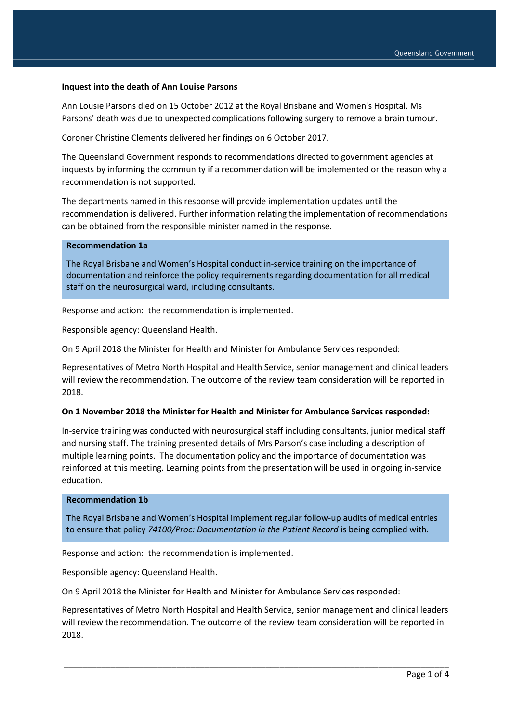#### **Inquest into the death of Ann Louise Parsons**

Ann Lousie Parsons died on 15 October 2012 at the Royal Brisbane and Women's Hospital. Ms Parsons' death was due to unexpected complications following surgery to remove a brain tumour.

Coroner Christine Clements delivered her findings on 6 October 2017.

The Queensland Government responds to recommendations directed to government agencies at inquests by informing the community if a recommendation will be implemented or the reason why a recommendation is not supported.

The departments named in this response will provide implementation updates until the recommendation is delivered. Further information relating the implementation of recommendations can be obtained from the responsible minister named in the response.

#### **Recommendation 1a**

The Royal Brisbane and Women's Hospital conduct in-service training on the importance of documentation and reinforce the policy requirements regarding documentation for all medical staff on the neurosurgical ward, including consultants.

Response and action: the recommendation is implemented.

Responsible agency: Queensland Health.

On 9 April 2018 the Minister for Health and Minister for Ambulance Services responded:

Representatives of Metro North Hospital and Health Service, senior management and clinical leaders will review the recommendation. The outcome of the review team consideration will be reported in 2018.

#### **On 1 November 2018 the Minister for Health and Minister for Ambulance Services responded:**

In-service training was conducted with neurosurgical staff including consultants, junior medical staff and nursing staff. The training presented details of Mrs Parson's case including a description of multiple learning points. The documentation policy and the importance of documentation was reinforced at this meeting. Learning points from the presentation will be used in ongoing in-service education.

#### **Recommendation 1b**

The Royal Brisbane and Women's Hospital implement regular follow-up audits of medical entries to ensure that policy *74100/Proc: Documentation in the Patient Record* is being complied with.

Response and action: the recommendation is implemented.

Responsible agency: Queensland Health.

On 9 April 2018 the Minister for Health and Minister for Ambulance Services responded:

Representatives of Metro North Hospital and Health Service, senior management and clinical leaders will review the recommendation. The outcome of the review team consideration will be reported in 2018.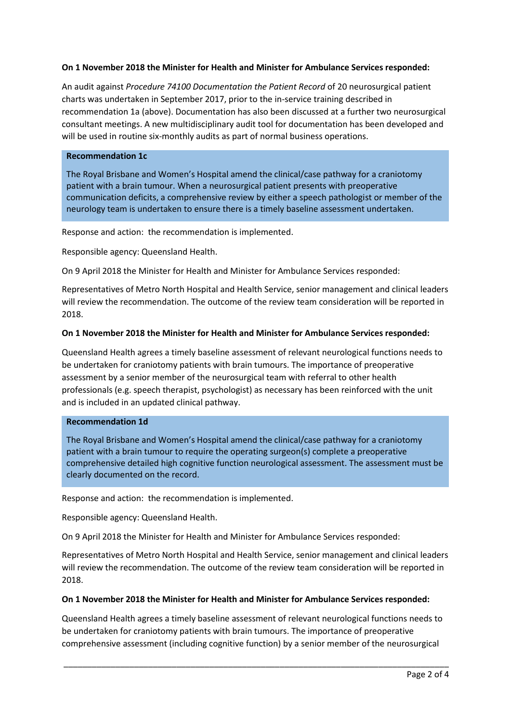## **On 1 November 2018 the Minister for Health and Minister for Ambulance Services responded:**

An audit against *Procedure 74100 Documentation the Patient Record* of 20 neurosurgical patient charts was undertaken in September 2017, prior to the in-service training described in recommendation 1a (above). Documentation has also been discussed at a further two neurosurgical consultant meetings. A new multidisciplinary audit tool for documentation has been developed and will be used in routine six-monthly audits as part of normal business operations.

### **Recommendation 1c**

The Royal Brisbane and Women's Hospital amend the clinical/case pathway for a craniotomy patient with a brain tumour. When a neurosurgical patient presents with preoperative communication deficits, a comprehensive review by either a speech pathologist or member of the neurology team is undertaken to ensure there is a timely baseline assessment undertaken.

Response and action: the recommendation is implemented.

Responsible agency: Queensland Health.

On 9 April 2018 the Minister for Health and Minister for Ambulance Services responded:

Representatives of Metro North Hospital and Health Service, senior management and clinical leaders will review the recommendation. The outcome of the review team consideration will be reported in 2018.

# **On 1 November 2018 the Minister for Health and Minister for Ambulance Services responded:**

Queensland Health agrees a timely baseline assessment of relevant neurological functions needs to be undertaken for craniotomy patients with brain tumours. The importance of preoperative assessment by a senior member of the neurosurgical team with referral to other health professionals (e.g. speech therapist, psychologist) as necessary has been reinforced with the unit and is included in an updated clinical pathway.

#### **Recommendation 1d**

The Royal Brisbane and Women's Hospital amend the clinical/case pathway for a craniotomy patient with a brain tumour to require the operating surgeon(s) complete a preoperative comprehensive detailed high cognitive function neurological assessment. The assessment must be clearly documented on the record.

Response and action: the recommendation is implemented.

Responsible agency: Queensland Health.

On 9 April 2018 the Minister for Health and Minister for Ambulance Services responded:

Representatives of Metro North Hospital and Health Service, senior management and clinical leaders will review the recommendation. The outcome of the review team consideration will be reported in 2018.

## **On 1 November 2018 the Minister for Health and Minister for Ambulance Services responded:**

Queensland Health agrees a timely baseline assessment of relevant neurological functions needs to be undertaken for craniotomy patients with brain tumours. The importance of preoperative comprehensive assessment (including cognitive function) by a senior member of the neurosurgical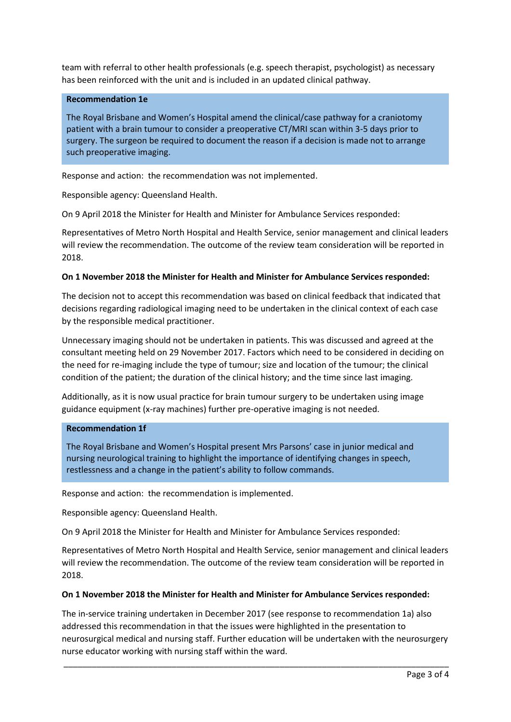team with referral to other health professionals (e.g. speech therapist, psychologist) as necessary has been reinforced with the unit and is included in an updated clinical pathway.

## **Recommendation 1e**

The Royal Brisbane and Women's Hospital amend the clinical/case pathway for a craniotomy patient with a brain tumour to consider a preoperative CT/MRI scan within 3-5 days prior to surgery. The surgeon be required to document the reason if a decision is made not to arrange such preoperative imaging.

Response and action: the recommendation was not implemented.

Responsible agency: Queensland Health.

On 9 April 2018 the Minister for Health and Minister for Ambulance Services responded:

Representatives of Metro North Hospital and Health Service, senior management and clinical leaders will review the recommendation. The outcome of the review team consideration will be reported in 2018.

#### **On 1 November 2018 the Minister for Health and Minister for Ambulance Services responded:**

The decision not to accept this recommendation was based on clinical feedback that indicated that decisions regarding radiological imaging need to be undertaken in the clinical context of each case by the responsible medical practitioner.

Unnecessary imaging should not be undertaken in patients. This was discussed and agreed at the consultant meeting held on 29 November 2017. Factors which need to be considered in deciding on the need for re-imaging include the type of tumour; size and location of the tumour; the clinical condition of the patient; the duration of the clinical history; and the time since last imaging.

Additionally, as it is now usual practice for brain tumour surgery to be undertaken using image guidance equipment (x-ray machines) further pre-operative imaging is not needed.

## **Recommendation 1f**

The Royal Brisbane and Women's Hospital present Mrs Parsons' case in junior medical and nursing neurological training to highlight the importance of identifying changes in speech, restlessness and a change in the patient's ability to follow commands.

Response and action: the recommendation is implemented.

Responsible agency: Queensland Health.

On 9 April 2018 the Minister for Health and Minister for Ambulance Services responded:

Representatives of Metro North Hospital and Health Service, senior management and clinical leaders will review the recommendation. The outcome of the review team consideration will be reported in 2018.

## **On 1 November 2018 the Minister for Health and Minister for Ambulance Services responded:**

The in-service training undertaken in December 2017 (see response to recommendation 1a) also addressed this recommendation in that the issues were highlighted in the presentation to neurosurgical medical and nursing staff. Further education will be undertaken with the neurosurgery nurse educator working with nursing staff within the ward.